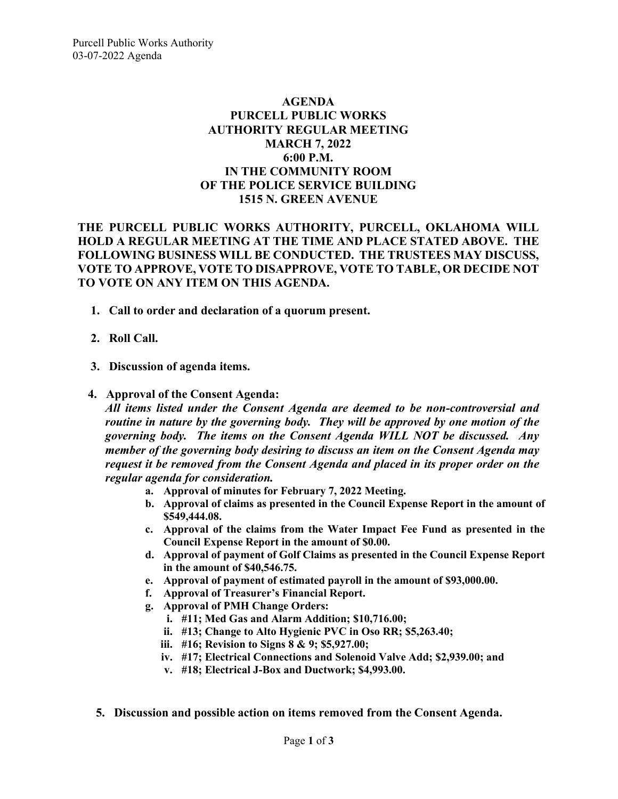## **AGENDA PURCELL PUBLIC WORKS AUTHORITY REGULAR MEETING MARCH 7, 2022 6:00 P.M. IN THE COMMUNITY ROOM OF THE POLICE SERVICE BUILDING 1515 N. GREEN AVENUE**

## **THE PURCELL PUBLIC WORKS AUTHORITY, PURCELL, OKLAHOMA WILL HOLD A REGULAR MEETING AT THE TIME AND PLACE STATED ABOVE. THE FOLLOWING BUSINESS WILL BE CONDUCTED. THE TRUSTEES MAY DISCUSS, VOTE TO APPROVE, VOTE TO DISAPPROVE, VOTE TO TABLE, OR DECIDE NOT TO VOTE ON ANY ITEM ON THIS AGENDA.**

- **1. Call to order and declaration of a quorum present.**
- **2. Roll Call.**
- **3. Discussion of agenda items.**

#### **4. Approval of the Consent Agenda:**

*All items listed under the Consent Agenda are deemed to be non-controversial and routine in nature by the governing body. They will be approved by one motion of the governing body. The items on the Consent Agenda WILL NOT be discussed. Any member of the governing body desiring to discuss an item on the Consent Agenda may request it be removed from the Consent Agenda and placed in its proper order on the regular agenda for consideration.*

- **a. Approval of minutes for February 7, 2022 Meeting.**
- **b. Approval of claims as presented in the Council Expense Report in the amount of \$549,444.08.**
- **c. Approval of the claims from the Water Impact Fee Fund as presented in the Council Expense Report in the amount of \$0.00.**
- **d. Approval of payment of Golf Claims as presented in the Council Expense Report in the amount of \$40,546.75.**
- **e. Approval of payment of estimated payroll in the amount of \$93,000.00.**
- **f. Approval of Treasurer's Financial Report.**
- **g. Approval of PMH Change Orders:**
	- **i. #11; Med Gas and Alarm Addition; \$10,716.00;**
	- **ii. #13; Change to Alto Hygienic PVC in Oso RR; \$5,263.40;**
	- **iii. #16; Revision to Signs 8 & 9; \$5,927.00;**
	- **iv. #17; Electrical Connections and Solenoid Valve Add; \$2,939.00; and**
	- **v. #18; Electrical J-Box and Ductwork; \$4,993.00.**
- **5. Discussion and possible action on items removed from the Consent Agenda.**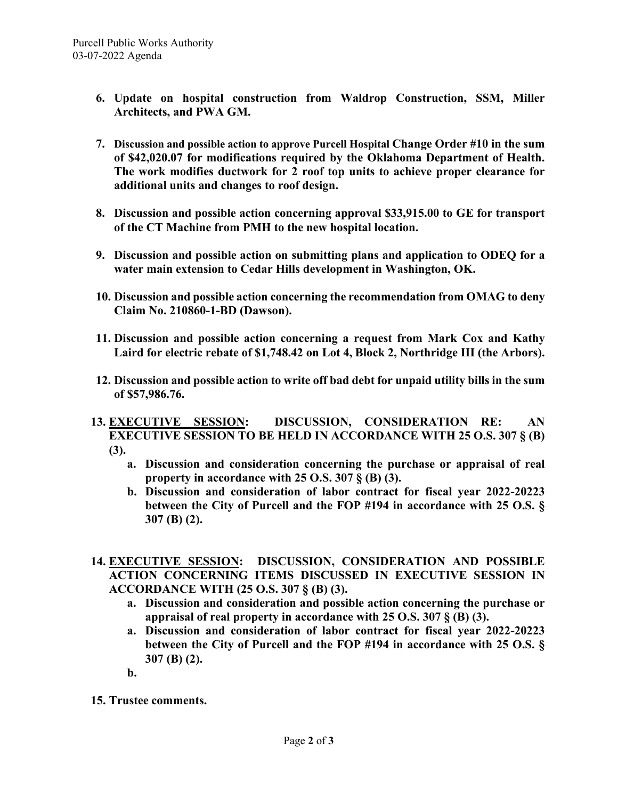- **6. Update on hospital construction from Waldrop Construction, SSM, Miller Architects, and PWA GM.**
- **7. Discussion and possible action to approve Purcell Hospital Change Order #10 in the sum of \$42,020.07 for modifications required by the Oklahoma Department of Health. The work modifies ductwork for 2 roof top units to achieve proper clearance for additional units and changes to roof design.**
- **8. Discussion and possible action concerning approval \$33,915.00 to GE for transport of the CT Machine from PMH to the new hospital location.**
- **9. Discussion and possible action on submitting plans and application to ODEQ for a water main extension to Cedar Hills development in Washington, OK.**
- **10. Discussion and possible action concerning the recommendation from OMAG to deny Claim No. 210860-1-BD (Dawson).**
- **11. Discussion and possible action concerning a request from Mark Cox and Kathy Laird for electric rebate of \$1,748.42 on Lot 4, Block 2, Northridge III (the Arbors).**
- **12. Discussion and possible action to write off bad debt for unpaid utility bills in the sum of \$57,986.76.**
- **13. EXECUTIVE SESSION: DISCUSSION, CONSIDERATION RE: AN EXECUTIVE SESSION TO BE HELD IN ACCORDANCE WITH 25 O.S. 307 § (B) (3).**
	- **a. Discussion and consideration concerning the purchase or appraisal of real property in accordance with 25 O.S. 307 § (B) (3).**
	- **b. Discussion and consideration of labor contract for fiscal year 2022-20223 between the City of Purcell and the FOP #194 in accordance with 25 O.S. § 307 (B) (2).**
- **14. EXECUTIVE SESSION: DISCUSSION, CONSIDERATION AND POSSIBLE ACTION CONCERNING ITEMS DISCUSSED IN EXECUTIVE SESSION IN ACCORDANCE WITH (25 O.S. 307 § (B) (3).**
	- **a. Discussion and consideration and possible action concerning the purchase or appraisal of real property in accordance with 25 O.S. 307 § (B) (3).**
	- **a. Discussion and consideration of labor contract for fiscal year 2022-20223 between the City of Purcell and the FOP #194 in accordance with 25 O.S. § 307 (B) (2).**
	- **b.**
- **15. Trustee comments.**